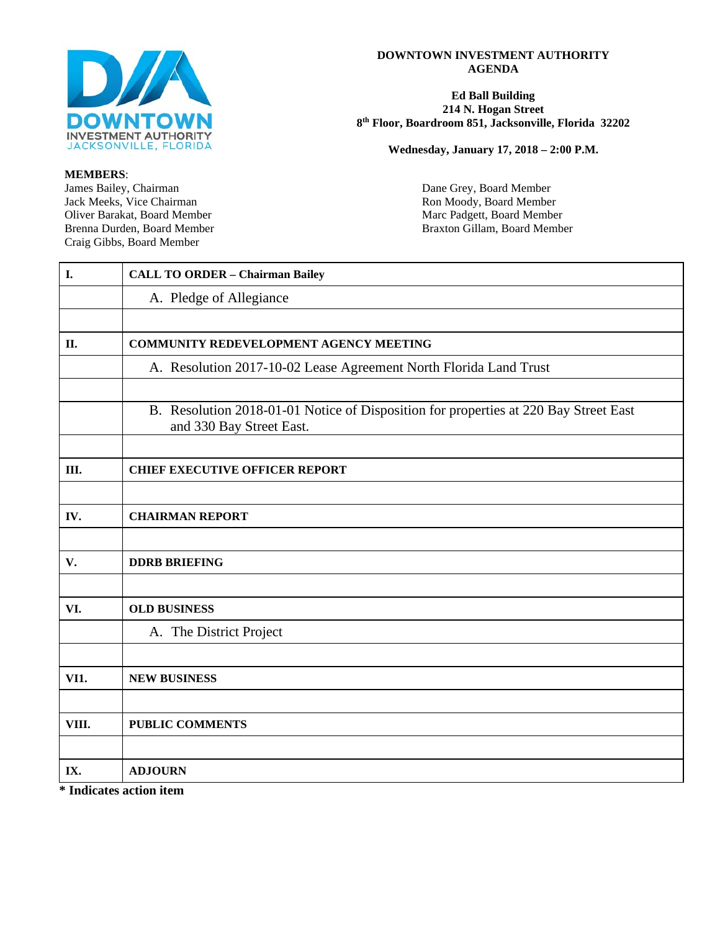

#### **DOWNTOWN INVESTMENT AUTHORITY AGENDA**

#### **Ed Ball Building 214 N. Hogan Street 8th Floor, Boardroom 851, Jacksonville, Florida 32202**

**Wednesday, January 17, 2018 – 2:00 P.M.**

**MEMBERS**: Craig Gibbs, Board Member

Dane Grey, Board Member Jack Meeks, Vice Chairman Ron Moody, Board Member<br>
Oliver Barakat, Board Member<br>
Ron Moody, Board Member<br>
Ron Moody, Board Member Oliver Barakat, Board Member Marc Padgett, Board Member Marc Padgett, Board Member Brenna Durden, Board Member Braxton Gillam, Board Member

| I.    | <b>CALL TO ORDER - Chairman Bailey</b>                                                                           |
|-------|------------------------------------------------------------------------------------------------------------------|
|       | A. Pledge of Allegiance                                                                                          |
|       |                                                                                                                  |
| II.   | COMMUNITY REDEVELOPMENT AGENCY MEETING                                                                           |
|       | A. Resolution 2017-10-02 Lease Agreement North Florida Land Trust                                                |
|       |                                                                                                                  |
|       | B. Resolution 2018-01-01 Notice of Disposition for properties at 220 Bay Street East<br>and 330 Bay Street East. |
|       |                                                                                                                  |
| III.  | <b>CHIEF EXECUTIVE OFFICER REPORT</b>                                                                            |
|       |                                                                                                                  |
| IV.   | <b>CHAIRMAN REPORT</b>                                                                                           |
|       |                                                                                                                  |
| V.    | <b>DDRB BRIEFING</b>                                                                                             |
|       |                                                                                                                  |
| VI.   | <b>OLD BUSINESS</b>                                                                                              |
|       | A. The District Project                                                                                          |
|       |                                                                                                                  |
| VI1.  | <b>NEW BUSINESS</b>                                                                                              |
|       |                                                                                                                  |
| VIII. | <b>PUBLIC COMMENTS</b>                                                                                           |
|       |                                                                                                                  |
| IX.   | <b>ADJOURN</b>                                                                                                   |

**\* Indicates action item**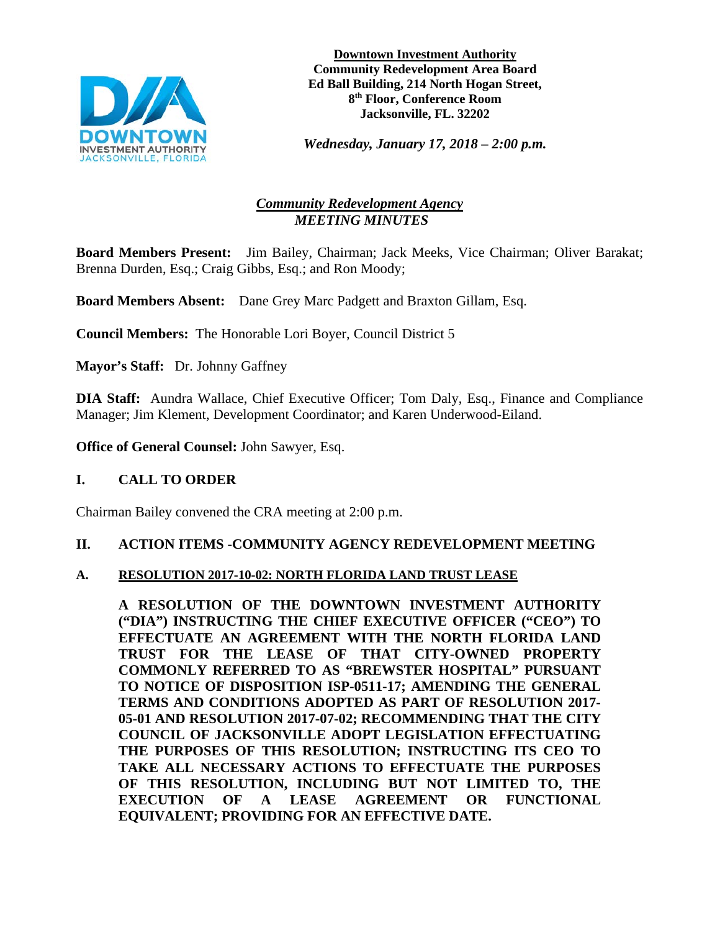

**Downtown Investment Authority Community Redevelopment Area Board Ed Ball Building, 214 North Hogan Street, 8th Floor, Conference Room Jacksonville, FL. 32202**

*Wednesday, January 17, 2018 – 2:00 p.m.* 

# *Community Redevelopment Agency MEETING MINUTES*

**Board Members Present:** Jim Bailey, Chairman; Jack Meeks, Vice Chairman; Oliver Barakat; Brenna Durden, Esq.; Craig Gibbs, Esq.; and Ron Moody;

**Board Members Absent:** Dane Grey Marc Padgett and Braxton Gillam, Esq.

**Council Members:** The Honorable Lori Boyer, Council District 5

**Mayor's Staff:** Dr. Johnny Gaffney

**DIA Staff:** Aundra Wallace, Chief Executive Officer; Tom Daly, Esq., Finance and Compliance Manager; Jim Klement, Development Coordinator; and Karen Underwood-Eiland.

**Office of General Counsel:** John Sawyer, Esq.

## **I. CALL TO ORDER**

Chairman Bailey convened the CRA meeting at 2:00 p.m.

## **II. ACTION ITEMS -COMMUNITY AGENCY REDEVELOPMENT MEETING**

### **A. RESOLUTION 2017-10-02: NORTH FLORIDA LAND TRUST LEASE**

**A RESOLUTION OF THE DOWNTOWN INVESTMENT AUTHORITY ("DIA") INSTRUCTING THE CHIEF EXECUTIVE OFFICER ("CEO") TO EFFECTUATE AN AGREEMENT WITH THE NORTH FLORIDA LAND TRUST FOR THE LEASE OF THAT CITY-OWNED PROPERTY COMMONLY REFERRED TO AS "BREWSTER HOSPITAL" PURSUANT TO NOTICE OF DISPOSITION ISP-0511-17; AMENDING THE GENERAL TERMS AND CONDITIONS ADOPTED AS PART OF RESOLUTION 2017- 05-01 AND RESOLUTION 2017-07-02; RECOMMENDING THAT THE CITY COUNCIL OF JACKSONVILLE ADOPT LEGISLATION EFFECTUATING THE PURPOSES OF THIS RESOLUTION; INSTRUCTING ITS CEO TO TAKE ALL NECESSARY ACTIONS TO EFFECTUATE THE PURPOSES OF THIS RESOLUTION, INCLUDING BUT NOT LIMITED TO, THE EXECUTION OF A LEASE AGREEMENT OR FUNCTIONAL EQUIVALENT; PROVIDING FOR AN EFFECTIVE DATE.**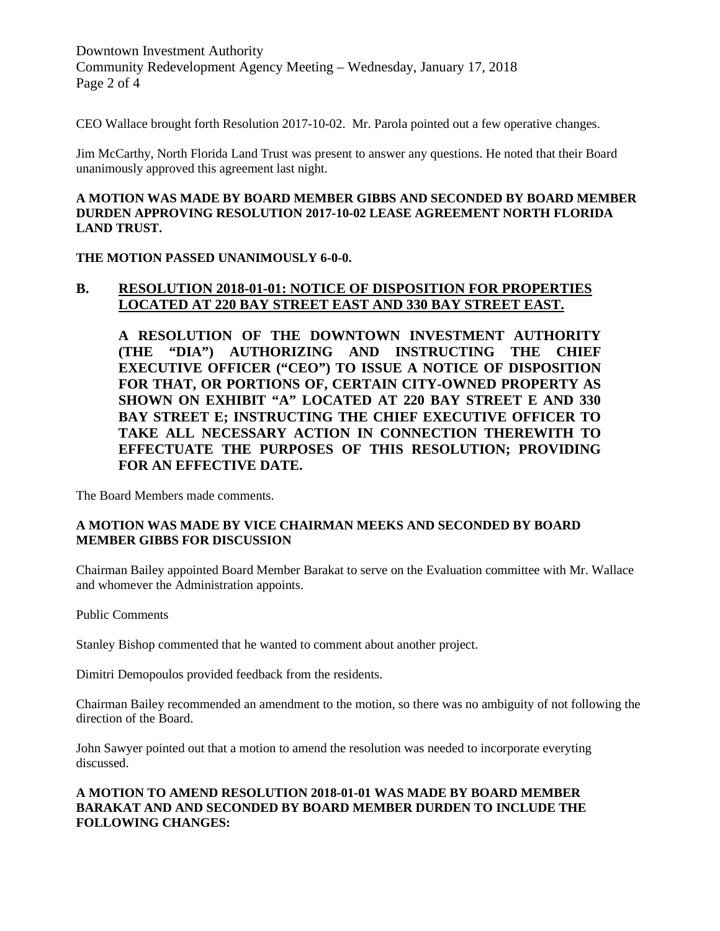Downtown Investment Authority Community Redevelopment Agency Meeting – Wednesday, January 17, 2018 Page 2 of 4

CEO Wallace brought forth Resolution 2017-10-02. Mr. Parola pointed out a few operative changes.

Jim McCarthy, North Florida Land Trust was present to answer any questions. He noted that their Board unanimously approved this agreement last night.

#### **A MOTION WAS MADE BY BOARD MEMBER GIBBS AND SECONDED BY BOARD MEMBER DURDEN APPROVING RESOLUTION 2017-10-02 LEASE AGREEMENT NORTH FLORIDA LAND TRUST.**

**THE MOTION PASSED UNANIMOUSLY 6-0-0.**

### **B. RESOLUTION 2018-01-01: NOTICE OF DISPOSITION FOR PROPERTIES LOCATED AT 220 BAY STREET EAST AND 330 BAY STREET EAST.**

**A RESOLUTION OF THE DOWNTOWN INVESTMENT AUTHORITY (THE "DIA") AUTHORIZING AND INSTRUCTING THE CHIEF EXECUTIVE OFFICER ("CEO") TO ISSUE A NOTICE OF DISPOSITION FOR THAT, OR PORTIONS OF, CERTAIN CITY-OWNED PROPERTY AS SHOWN ON EXHIBIT "A" LOCATED AT 220 BAY STREET E AND 330 BAY STREET E; INSTRUCTING THE CHIEF EXECUTIVE OFFICER TO TAKE ALL NECESSARY ACTION IN CONNECTION THEREWITH TO EFFECTUATE THE PURPOSES OF THIS RESOLUTION; PROVIDING FOR AN EFFECTIVE DATE.**

The Board Members made comments.

### **A MOTION WAS MADE BY VICE CHAIRMAN MEEKS AND SECONDED BY BOARD MEMBER GIBBS FOR DISCUSSION**

Chairman Bailey appointed Board Member Barakat to serve on the Evaluation committee with Mr. Wallace and whomever the Administration appoints.

Public Comments

Stanley Bishop commented that he wanted to comment about another project.

Dimitri Demopoulos provided feedback from the residents.

Chairman Bailey recommended an amendment to the motion, so there was no ambiguity of not following the direction of the Board.

John Sawyer pointed out that a motion to amend the resolution was needed to incorporate everyting discussed.

#### **A MOTION TO AMEND RESOLUTION 2018-01-01 WAS MADE BY BOARD MEMBER BARAKAT AND AND SECONDED BY BOARD MEMBER DURDEN TO INCLUDE THE FOLLOWING CHANGES:**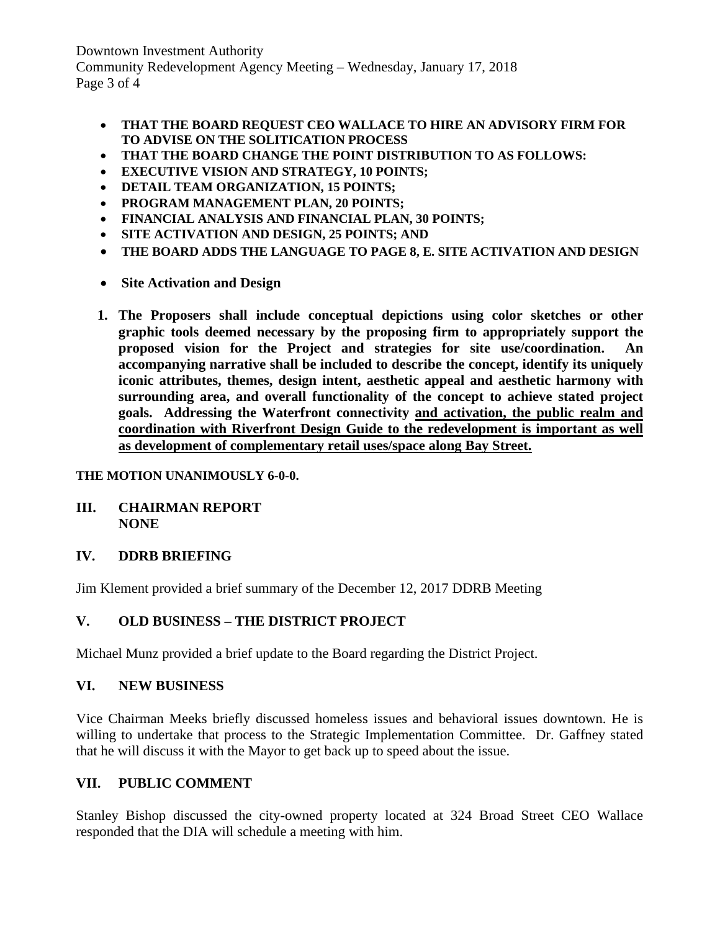Downtown Investment Authority Community Redevelopment Agency Meeting – Wednesday, January 17, 2018 Page 3 of 4

- **THAT THE BOARD REQUEST CEO WALLACE TO HIRE AN ADVISORY FIRM FOR TO ADVISE ON THE SOLITICATION PROCESS**
- **THAT THE BOARD CHANGE THE POINT DISTRIBUTION TO AS FOLLOWS:**
- **EXECUTIVE VISION AND STRATEGY, 10 POINTS;**
- **DETAIL TEAM ORGANIZATION, 15 POINTS;**
- **PROGRAM MANAGEMENT PLAN, 20 POINTS;**
- **FINANCIAL ANALYSIS AND FINANCIAL PLAN, 30 POINTS;**
- **SITE ACTIVATION AND DESIGN, 25 POINTS; AND**
- **THE BOARD ADDS THE LANGUAGE TO PAGE 8, E. SITE ACTIVATION AND DESIGN**
- **Site Activation and Design**
- **1. The Proposers shall include conceptual depictions using color sketches or other graphic tools deemed necessary by the proposing firm to appropriately support the proposed vision for the Project and strategies for site use/coordination. An accompanying narrative shall be included to describe the concept, identify its uniquely iconic attributes, themes, design intent, aesthetic appeal and aesthetic harmony with surrounding area, and overall functionality of the concept to achieve stated project goals. Addressing the Waterfront connectivity and activation, the public realm and coordination with Riverfront Design Guide to the redevelopment is important as well as development of complementary retail uses/space along Bay Street.**

## **THE MOTION UNANIMOUSLY 6-0-0.**

### **III. CHAIRMAN REPORT NONE**

## **IV. DDRB BRIEFING**

Jim Klement provided a brief summary of the December 12, 2017 DDRB Meeting

# **V. OLD BUSINESS – THE DISTRICT PROJECT**

Michael Munz provided a brief update to the Board regarding the District Project.

## **VI. NEW BUSINESS**

Vice Chairman Meeks briefly discussed homeless issues and behavioral issues downtown. He is willing to undertake that process to the Strategic Implementation Committee. Dr. Gaffney stated that he will discuss it with the Mayor to get back up to speed about the issue.

## **VII. PUBLIC COMMENT**

Stanley Bishop discussed the city-owned property located at 324 Broad Street CEO Wallace responded that the DIA will schedule a meeting with him.